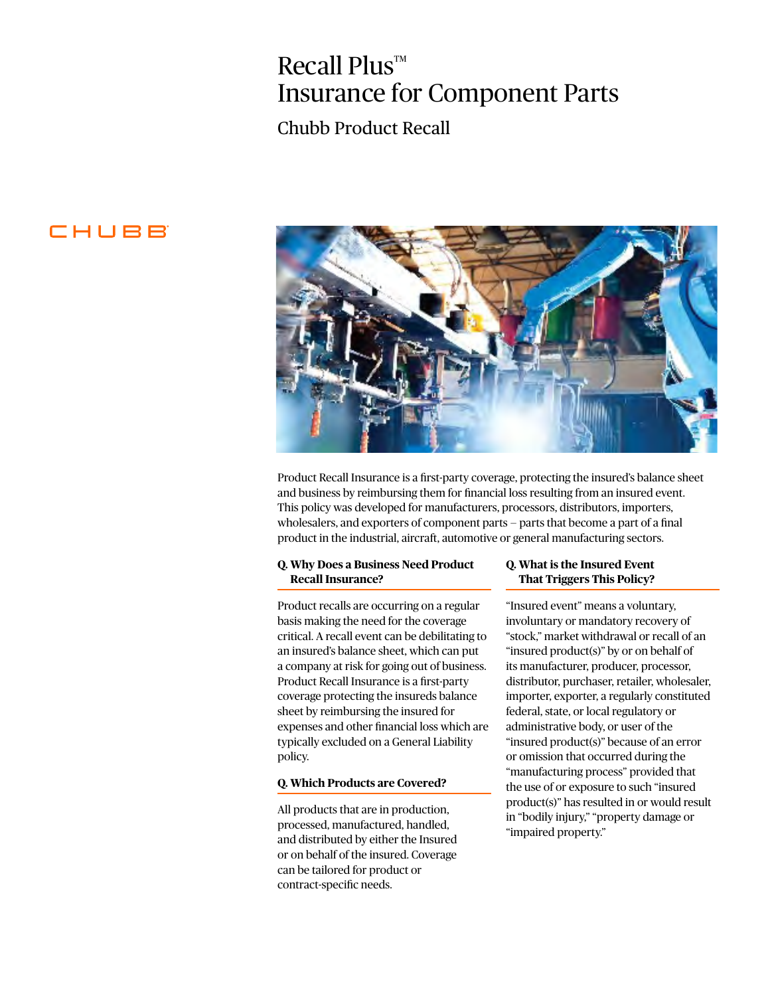# $Recall Plus^{\mathbb{M}}$ Insurance for Component Parts

### Chubb Product Recall

### CHUBB



Product Recall Insurance is a first-party coverage, protecting the insured's balance sheet and business by reimbursing them for financial loss resulting from an insured event. This policy was developed for manufacturers, processors, distributors, importers, wholesalers, and exporters of component parts — parts that become a part of a final product in the industrial, aircraft, automotive or general manufacturing sectors.

#### **Q. Why Does a Business Need Product Recall Insurance?**

Product recalls are occurring on a regular basis making the need for the coverage critical. A recall event can be debilitating to an insured's balance sheet, which can put a company at risk for going out of business. Product Recall Insurance is a first-party coverage protecting the insureds balance sheet by reimbursing the insured for expenses and other financial loss which are typically excluded on a General Liability policy.

#### **Q. Which Products are Covered?**

All products that are in production, processed, manufactured, handled, and distributed by either the Insured or on behalf of the insured. Coverage can be tailored for product or contract-specific needs.

#### **Q. What is the Insured Event That Triggers This Policy?**

"Insured event" means a voluntary, involuntary or mandatory recovery of "stock," market withdrawal or recall of an "insured product(s)" by or on behalf of its manufacturer, producer, processor, distributor, purchaser, retailer, wholesaler, importer, exporter, a regularly constituted federal, state, or local regulatory or administrative body, or user of the "insured product(s)" because of an error or omission that occurred during the "manufacturing process" provided that the use of or exposure to such "insured product(s)" has resulted in or would result in "bodily injury," "property damage or "impaired property."